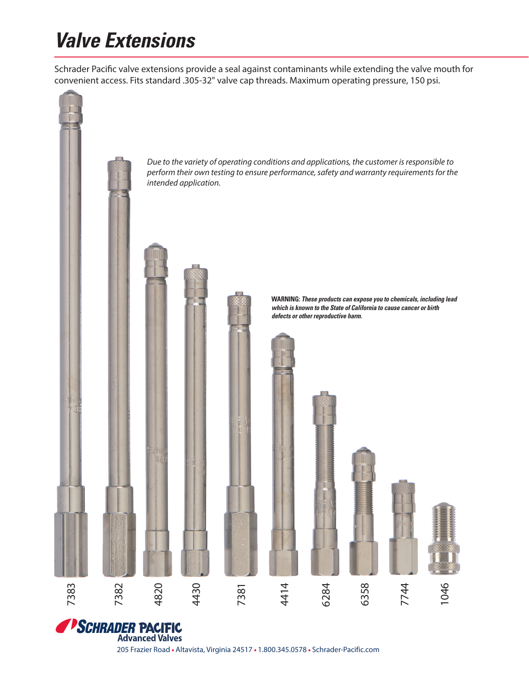## **Valve Extensions**

Schrader Pacific valve extensions provide a seal against contaminants while extending the valve mouth for convenient access. Fits standard .305-32" valve cap threads. Maximum operating pressure, 150 psi.



**Advanced Valves** 

205 Frazier Road • Altavista, Virginia 24517 • 1.800.345.0578 • Schrader-Pacific.com